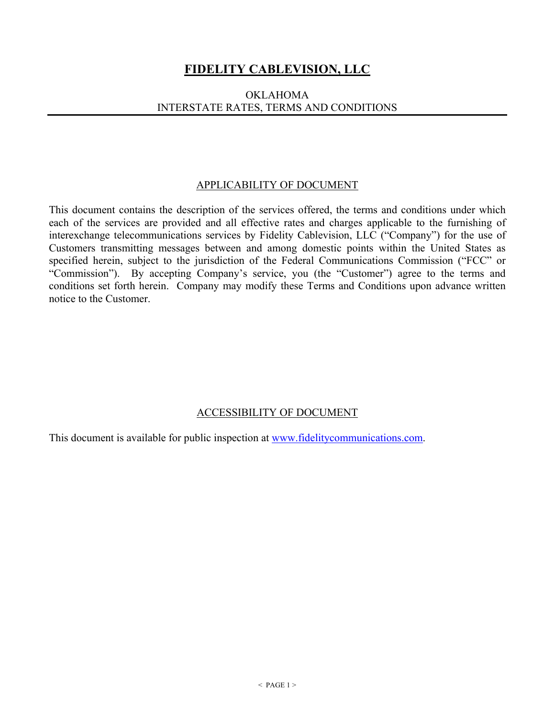# **FIDELITY CABLEVISION, LLC**

## OKLAHOMA INTERSTATE RATES, TERMS AND CONDITIONS

#### APPLICABILITY OF DOCUMENT

This document contains the description of the services offered, the terms and conditions under which each of the services are provided and all effective rates and charges applicable to the furnishing of interexchange telecommunications services by Fidelity Cablevision, LLC ("Company") for the use of Customers transmitting messages between and among domestic points within the United States as specified herein, subject to the jurisdiction of the Federal Communications Commission ("FCC" or "Commission"). By accepting Company's service, you (the "Customer") agree to the terms and conditions set forth herein. Company may modify these Terms and Conditions upon advance written notice to the Customer.

## ACCESSIBILITY OF DOCUMENT

This document is available for public inspection at www.fidelitycommunications.com.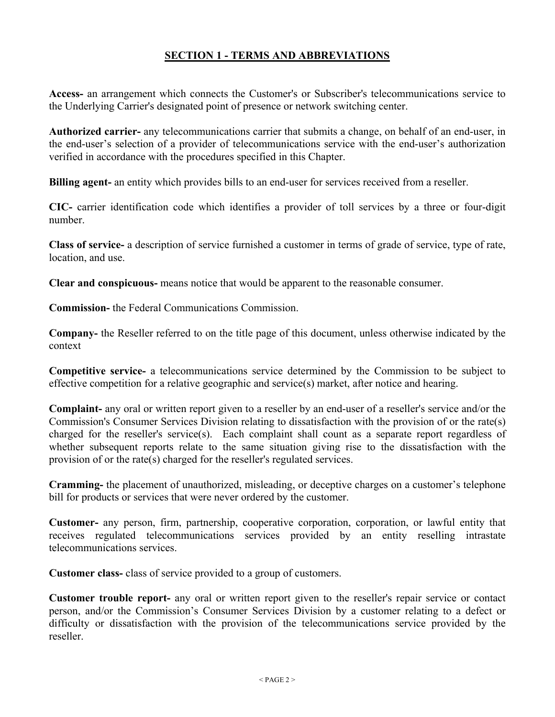## **SECTION 1 - TERMS AND ABBREVIATIONS**

**Access-** an arrangement which connects the Customer's or Subscriber's telecommunications service to the Underlying Carrier's designated point of presence or network switching center.

**Authorized carrier-** any telecommunications carrier that submits a change, on behalf of an end-user, in the end-user's selection of a provider of telecommunications service with the end-user's authorization verified in accordance with the procedures specified in this Chapter.

**Billing agent-** an entity which provides bills to an end-user for services received from a reseller.

**CIC-** carrier identification code which identifies a provider of toll services by a three or four-digit number.

**Class of service-** a description of service furnished a customer in terms of grade of service, type of rate, location, and use.

**Clear and conspicuous-** means notice that would be apparent to the reasonable consumer.

**Commission-** the Federal Communications Commission.

**Company-** the Reseller referred to on the title page of this document, unless otherwise indicated by the context

**Competitive service-** a telecommunications service determined by the Commission to be subject to effective competition for a relative geographic and service(s) market, after notice and hearing.

**Complaint-** any oral or written report given to a reseller by an end-user of a reseller's service and/or the Commission's Consumer Services Division relating to dissatisfaction with the provision of or the rate(s) charged for the reseller's service(s). Each complaint shall count as a separate report regardless of whether subsequent reports relate to the same situation giving rise to the dissatisfaction with the provision of or the rate(s) charged for the reseller's regulated services.

**Cramming-** the placement of unauthorized, misleading, or deceptive charges on a customer's telephone bill for products or services that were never ordered by the customer.

**Customer-** any person, firm, partnership, cooperative corporation, corporation, or lawful entity that receives regulated telecommunications services provided by an entity reselling intrastate telecommunications services.

**Customer class-** class of service provided to a group of customers.

**Customer trouble report-** any oral or written report given to the reseller's repair service or contact person, and/or the Commission's Consumer Services Division by a customer relating to a defect or difficulty or dissatisfaction with the provision of the telecommunications service provided by the reseller.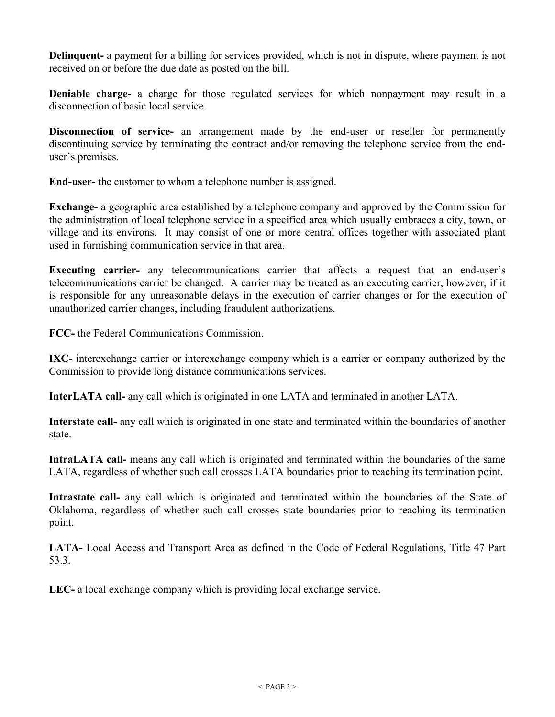**Delinquent-** a payment for a billing for services provided, which is not in dispute, where payment is not received on or before the due date as posted on the bill.

**Deniable charge-** a charge for those regulated services for which nonpayment may result in a disconnection of basic local service.

**Disconnection of service-** an arrangement made by the end-user or reseller for permanently discontinuing service by terminating the contract and/or removing the telephone service from the enduser's premises.

**End-user-** the customer to whom a telephone number is assigned.

**Exchange-** a geographic area established by a telephone company and approved by the Commission for the administration of local telephone service in a specified area which usually embraces a city, town, or village and its environs. It may consist of one or more central offices together with associated plant used in furnishing communication service in that area.

**Executing carrier-** any telecommunications carrier that affects a request that an end-user's telecommunications carrier be changed. A carrier may be treated as an executing carrier, however, if it is responsible for any unreasonable delays in the execution of carrier changes or for the execution of unauthorized carrier changes, including fraudulent authorizations.

**FCC-** the Federal Communications Commission.

**IXC-** interexchange carrier or interexchange company which is a carrier or company authorized by the Commission to provide long distance communications services.

**InterLATA call-** any call which is originated in one LATA and terminated in another LATA.

**Interstate call-** any call which is originated in one state and terminated within the boundaries of another state.

**IntraLATA call-** means any call which is originated and terminated within the boundaries of the same LATA, regardless of whether such call crosses LATA boundaries prior to reaching its termination point.

**Intrastate call-** any call which is originated and terminated within the boundaries of the State of Oklahoma, regardless of whether such call crosses state boundaries prior to reaching its termination point.

**LATA-** Local Access and Transport Area as defined in the Code of Federal Regulations, Title 47 Part 53.3.

**LEC-** a local exchange company which is providing local exchange service.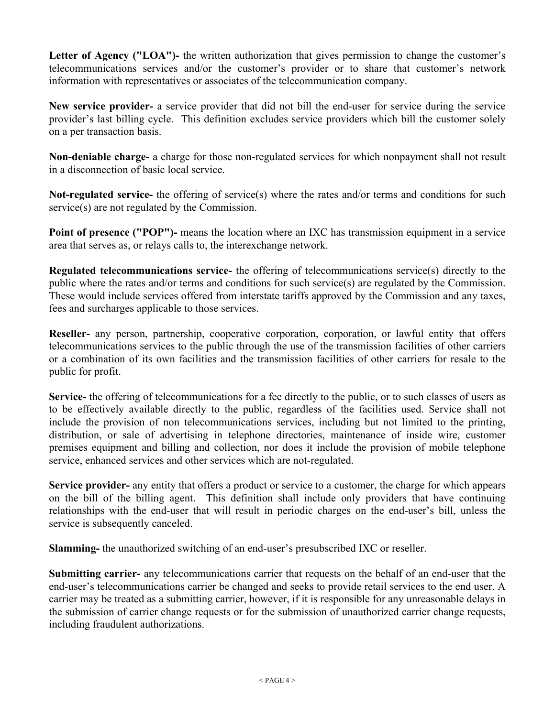Letter of Agency ("LOA")- the written authorization that gives permission to change the customer's telecommunications services and/or the customer's provider or to share that customer's network information with representatives or associates of the telecommunication company.

**New service provider-** a service provider that did not bill the end-user for service during the service provider's last billing cycle. This definition excludes service providers which bill the customer solely on a per transaction basis.

**Non-deniable charge-** a charge for those non-regulated services for which nonpayment shall not result in a disconnection of basic local service.

**Not-regulated service-** the offering of service(s) where the rates and/or terms and conditions for such service(s) are not regulated by the Commission.

**Point of presence ("POP")-** means the location where an IXC has transmission equipment in a service area that serves as, or relays calls to, the interexchange network.

**Regulated telecommunications service-** the offering of telecommunications service(s) directly to the public where the rates and/or terms and conditions for such service(s) are regulated by the Commission. These would include services offered from interstate tariffs approved by the Commission and any taxes, fees and surcharges applicable to those services.

**Reseller-** any person, partnership, cooperative corporation, corporation, or lawful entity that offers telecommunications services to the public through the use of the transmission facilities of other carriers or a combination of its own facilities and the transmission facilities of other carriers for resale to the public for profit.

**Service-** the offering of telecommunications for a fee directly to the public, or to such classes of users as to be effectively available directly to the public, regardless of the facilities used. Service shall not include the provision of non telecommunications services, including but not limited to the printing, distribution, or sale of advertising in telephone directories, maintenance of inside wire, customer premises equipment and billing and collection, nor does it include the provision of mobile telephone service, enhanced services and other services which are not-regulated.

**Service provider-** any entity that offers a product or service to a customer, the charge for which appears on the bill of the billing agent. This definition shall include only providers that have continuing relationships with the end-user that will result in periodic charges on the end-user's bill, unless the service is subsequently canceled.

**Slamming-** the unauthorized switching of an end-user's presubscribed IXC or reseller.

**Submitting carrier-** any telecommunications carrier that requests on the behalf of an end-user that the end-user's telecommunications carrier be changed and seeks to provide retail services to the end user. A carrier may be treated as a submitting carrier, however, if it is responsible for any unreasonable delays in the submission of carrier change requests or for the submission of unauthorized carrier change requests, including fraudulent authorizations.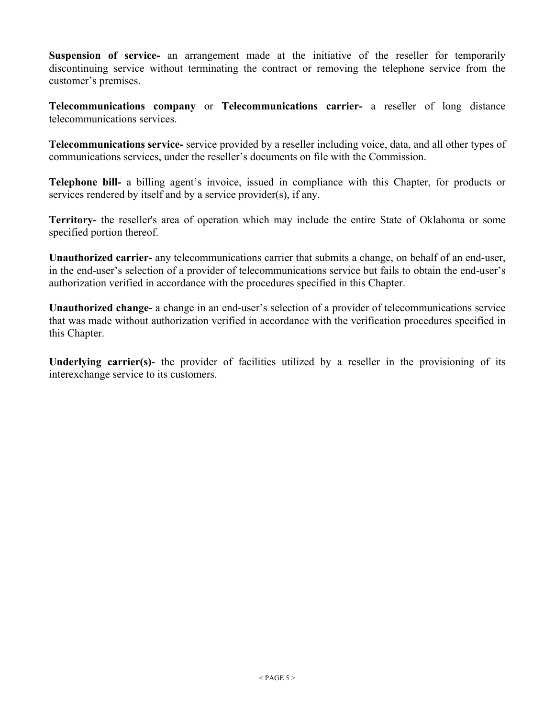**Suspension of service-** an arrangement made at the initiative of the reseller for temporarily discontinuing service without terminating the contract or removing the telephone service from the customer's premises.

**Telecommunications company** or **Telecommunications carrier-** a reseller of long distance telecommunications services.

**Telecommunications service-** service provided by a reseller including voice, data, and all other types of communications services, under the reseller's documents on file with the Commission.

**Telephone bill-** a billing agent's invoice, issued in compliance with this Chapter, for products or services rendered by itself and by a service provider(s), if any.

**Territory-** the reseller's area of operation which may include the entire State of Oklahoma or some specified portion thereof.

**Unauthorized carrier-** any telecommunications carrier that submits a change, on behalf of an end-user, in the end-user's selection of a provider of telecommunications service but fails to obtain the end-user's authorization verified in accordance with the procedures specified in this Chapter.

**Unauthorized change-** a change in an end-user's selection of a provider of telecommunications service that was made without authorization verified in accordance with the verification procedures specified in this Chapter.

**Underlying carrier(s)-** the provider of facilities utilized by a reseller in the provisioning of its interexchange service to its customers.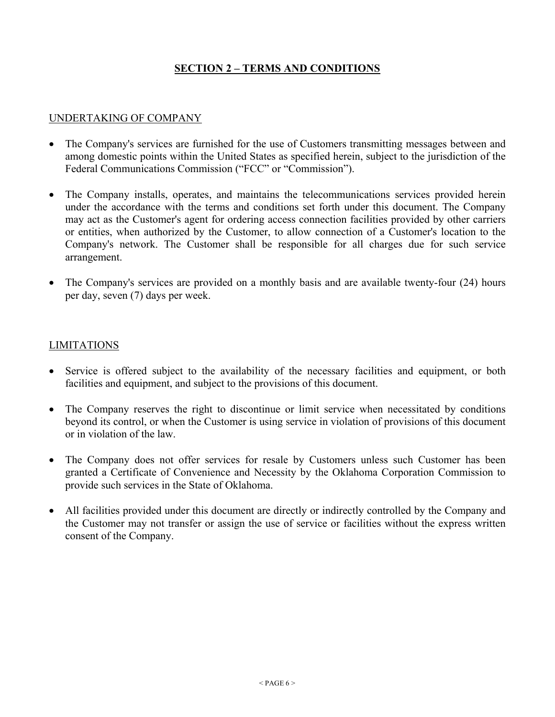## **SECTION 2 – TERMS AND CONDITIONS**

#### UNDERTAKING OF COMPANY

- The Company's services are furnished for the use of Customers transmitting messages between and among domestic points within the United States as specified herein, subject to the jurisdiction of the Federal Communications Commission ("FCC" or "Commission").
- The Company installs, operates, and maintains the telecommunications services provided herein under the accordance with the terms and conditions set forth under this document. The Company may act as the Customer's agent for ordering access connection facilities provided by other carriers or entities, when authorized by the Customer, to allow connection of a Customer's location to the Company's network. The Customer shall be responsible for all charges due for such service arrangement.
- The Company's services are provided on a monthly basis and are available twenty-four (24) hours per day, seven (7) days per week.

#### LIMITATIONS

- Service is offered subject to the availability of the necessary facilities and equipment, or both facilities and equipment, and subject to the provisions of this document.
- The Company reserves the right to discontinue or limit service when necessitated by conditions beyond its control, or when the Customer is using service in violation of provisions of this document or in violation of the law.
- The Company does not offer services for resale by Customers unless such Customer has been granted a Certificate of Convenience and Necessity by the Oklahoma Corporation Commission to provide such services in the State of Oklahoma.
- All facilities provided under this document are directly or indirectly controlled by the Company and the Customer may not transfer or assign the use of service or facilities without the express written consent of the Company.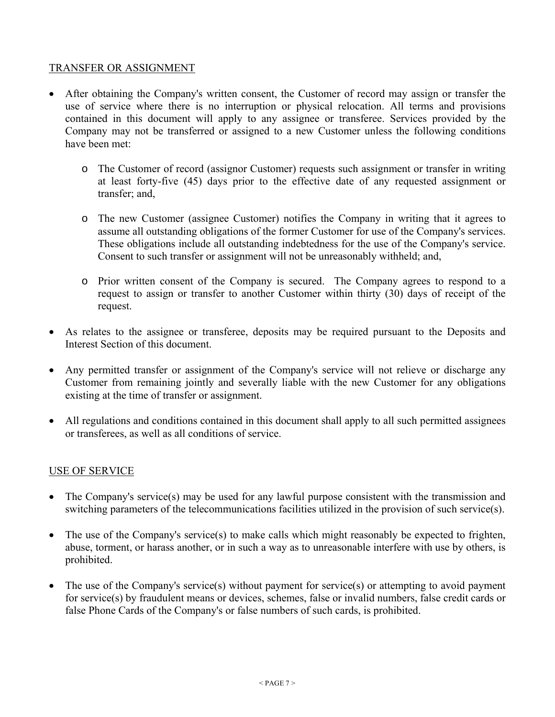## TRANSFER OR ASSIGNMENT

- After obtaining the Company's written consent, the Customer of record may assign or transfer the use of service where there is no interruption or physical relocation. All terms and provisions contained in this document will apply to any assignee or transferee. Services provided by the Company may not be transferred or assigned to a new Customer unless the following conditions have been met:
	- o The Customer of record (assignor Customer) requests such assignment or transfer in writing at least forty-five (45) days prior to the effective date of any requested assignment or transfer; and,
	- o The new Customer (assignee Customer) notifies the Company in writing that it agrees to assume all outstanding obligations of the former Customer for use of the Company's services. These obligations include all outstanding indebtedness for the use of the Company's service. Consent to such transfer or assignment will not be unreasonably withheld; and,
	- o Prior written consent of the Company is secured. The Company agrees to respond to a request to assign or transfer to another Customer within thirty (30) days of receipt of the request.
- As relates to the assignee or transferee, deposits may be required pursuant to the Deposits and Interest Section of this document.
- Any permitted transfer or assignment of the Company's service will not relieve or discharge any Customer from remaining jointly and severally liable with the new Customer for any obligations existing at the time of transfer or assignment.
- All regulations and conditions contained in this document shall apply to all such permitted assignees or transferees, as well as all conditions of service.

#### USE OF SERVICE

- The Company's service(s) may be used for any lawful purpose consistent with the transmission and switching parameters of the telecommunications facilities utilized in the provision of such service(s).
- The use of the Company's service(s) to make calls which might reasonably be expected to frighten, abuse, torment, or harass another, or in such a way as to unreasonable interfere with use by others, is prohibited.
- The use of the Company's service(s) without payment for service(s) or attempting to avoid payment for service(s) by fraudulent means or devices, schemes, false or invalid numbers, false credit cards or false Phone Cards of the Company's or false numbers of such cards, is prohibited.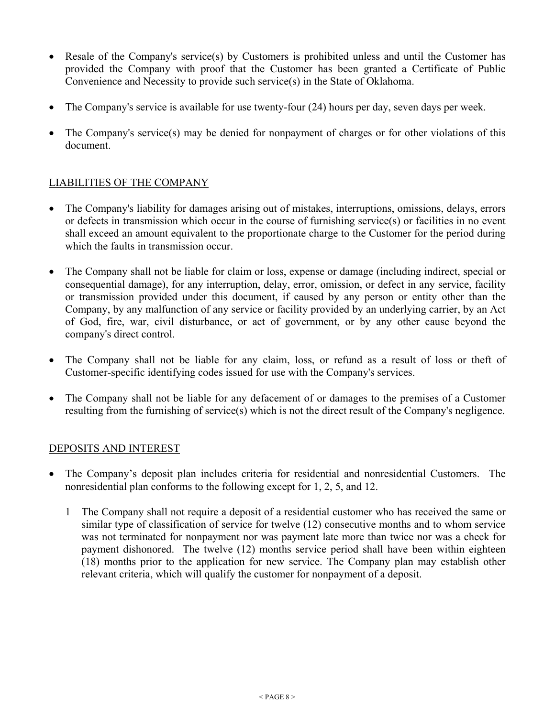- Resale of the Company's service(s) by Customers is prohibited unless and until the Customer has provided the Company with proof that the Customer has been granted a Certificate of Public Convenience and Necessity to provide such service(s) in the State of Oklahoma.
- The Company's service is available for use twenty-four (24) hours per day, seven days per week.
- The Company's service(s) may be denied for nonpayment of charges or for other violations of this document.

## LIABILITIES OF THE COMPANY

- The Company's liability for damages arising out of mistakes, interruptions, omissions, delays, errors or defects in transmission which occur in the course of furnishing service(s) or facilities in no event shall exceed an amount equivalent to the proportionate charge to the Customer for the period during which the faults in transmission occur.
- The Company shall not be liable for claim or loss, expense or damage (including indirect, special or consequential damage), for any interruption, delay, error, omission, or defect in any service, facility or transmission provided under this document, if caused by any person or entity other than the Company, by any malfunction of any service or facility provided by an underlying carrier, by an Act of God, fire, war, civil disturbance, or act of government, or by any other cause beyond the company's direct control.
- The Company shall not be liable for any claim, loss, or refund as a result of loss or theft of Customer-specific identifying codes issued for use with the Company's services.
- The Company shall not be liable for any defacement of or damages to the premises of a Customer resulting from the furnishing of service(s) which is not the direct result of the Company's negligence.

#### DEPOSITS AND INTEREST

- The Company's deposit plan includes criteria for residential and nonresidential Customers. The nonresidential plan conforms to the following except for 1, 2, 5, and 12.
	- 1 The Company shall not require a deposit of a residential customer who has received the same or similar type of classification of service for twelve (12) consecutive months and to whom service was not terminated for nonpayment nor was payment late more than twice nor was a check for payment dishonored. The twelve (12) months service period shall have been within eighteen (18) months prior to the application for new service. The Company plan may establish other relevant criteria, which will qualify the customer for nonpayment of a deposit.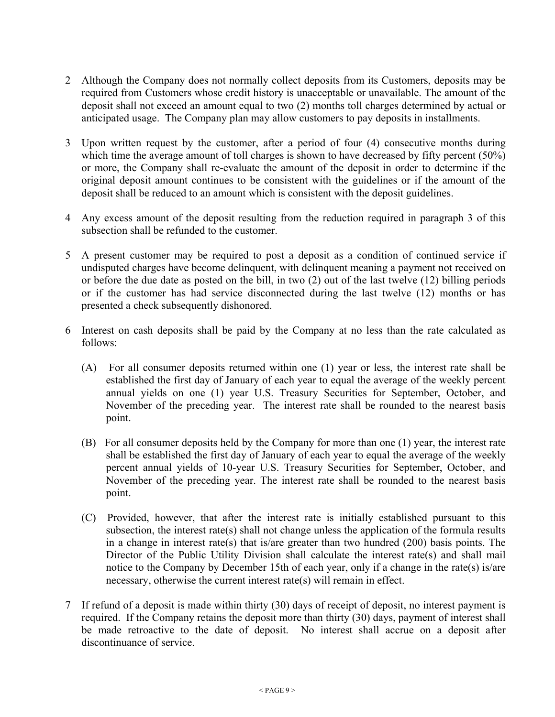- 2 Although the Company does not normally collect deposits from its Customers, deposits may be required from Customers whose credit history is unacceptable or unavailable. The amount of the deposit shall not exceed an amount equal to two (2) months toll charges determined by actual or anticipated usage. The Company plan may allow customers to pay deposits in installments.
- 3 Upon written request by the customer, after a period of four (4) consecutive months during which time the average amount of toll charges is shown to have decreased by fifty percent (50%) or more, the Company shall re-evaluate the amount of the deposit in order to determine if the original deposit amount continues to be consistent with the guidelines or if the amount of the deposit shall be reduced to an amount which is consistent with the deposit guidelines.
- 4 Any excess amount of the deposit resulting from the reduction required in paragraph 3 of this subsection shall be refunded to the customer.
- 5 A present customer may be required to post a deposit as a condition of continued service if undisputed charges have become delinquent, with delinquent meaning a payment not received on or before the due date as posted on the bill, in two (2) out of the last twelve (12) billing periods or if the customer has had service disconnected during the last twelve (12) months or has presented a check subsequently dishonored.
- 6 Interest on cash deposits shall be paid by the Company at no less than the rate calculated as follows:
	- (A) For all consumer deposits returned within one (1) year or less, the interest rate shall be established the first day of January of each year to equal the average of the weekly percent annual yields on one (1) year U.S. Treasury Securities for September, October, and November of the preceding year. The interest rate shall be rounded to the nearest basis point.
	- (B) For all consumer deposits held by the Company for more than one (1) year, the interest rate shall be established the first day of January of each year to equal the average of the weekly percent annual yields of 10-year U.S. Treasury Securities for September, October, and November of the preceding year. The interest rate shall be rounded to the nearest basis point.
	- (C) Provided, however, that after the interest rate is initially established pursuant to this subsection, the interest rate(s) shall not change unless the application of the formula results in a change in interest rate(s) that is/are greater than two hundred  $(200)$  basis points. The Director of the Public Utility Division shall calculate the interest rate(s) and shall mail notice to the Company by December 15th of each year, only if a change in the rate(s) is/are necessary, otherwise the current interest rate(s) will remain in effect.
- 7 If refund of a deposit is made within thirty (30) days of receipt of deposit, no interest payment is required. If the Company retains the deposit more than thirty (30) days, payment of interest shall be made retroactive to the date of deposit. No interest shall accrue on a deposit after discontinuance of service.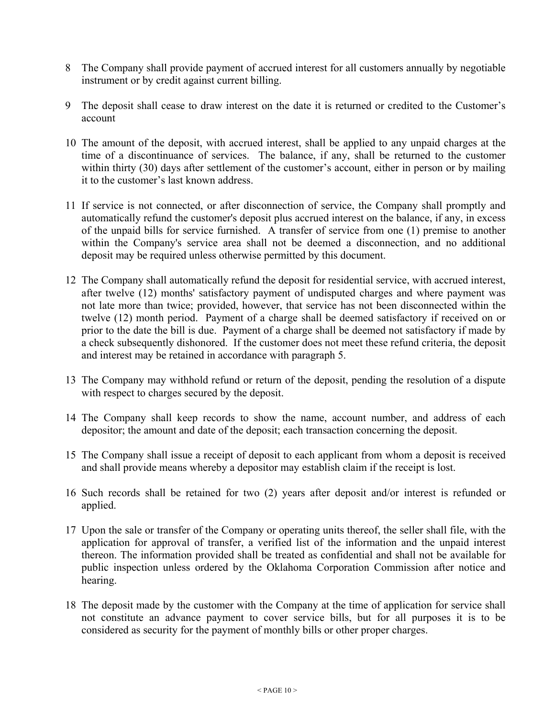- 8 The Company shall provide payment of accrued interest for all customers annually by negotiable instrument or by credit against current billing.
- 9 The deposit shall cease to draw interest on the date it is returned or credited to the Customer's account
- 10 The amount of the deposit, with accrued interest, shall be applied to any unpaid charges at the time of a discontinuance of services. The balance, if any, shall be returned to the customer within thirty (30) days after settlement of the customer's account, either in person or by mailing it to the customer's last known address.
- 11 If service is not connected, or after disconnection of service, the Company shall promptly and automatically refund the customer's deposit plus accrued interest on the balance, if any, in excess of the unpaid bills for service furnished. A transfer of service from one (1) premise to another within the Company's service area shall not be deemed a disconnection, and no additional deposit may be required unless otherwise permitted by this document.
- 12 The Company shall automatically refund the deposit for residential service, with accrued interest, after twelve (12) months' satisfactory payment of undisputed charges and where payment was not late more than twice; provided, however, that service has not been disconnected within the twelve (12) month period. Payment of a charge shall be deemed satisfactory if received on or prior to the date the bill is due. Payment of a charge shall be deemed not satisfactory if made by a check subsequently dishonored. If the customer does not meet these refund criteria, the deposit and interest may be retained in accordance with paragraph 5.
- 13 The Company may withhold refund or return of the deposit, pending the resolution of a dispute with respect to charges secured by the deposit.
- 14 The Company shall keep records to show the name, account number, and address of each depositor; the amount and date of the deposit; each transaction concerning the deposit.
- 15 The Company shall issue a receipt of deposit to each applicant from whom a deposit is received and shall provide means whereby a depositor may establish claim if the receipt is lost.
- 16 Such records shall be retained for two (2) years after deposit and/or interest is refunded or applied.
- 17 Upon the sale or transfer of the Company or operating units thereof, the seller shall file, with the application for approval of transfer, a verified list of the information and the unpaid interest thereon. The information provided shall be treated as confidential and shall not be available for public inspection unless ordered by the Oklahoma Corporation Commission after notice and hearing.
- 18 The deposit made by the customer with the Company at the time of application for service shall not constitute an advance payment to cover service bills, but for all purposes it is to be considered as security for the payment of monthly bills or other proper charges.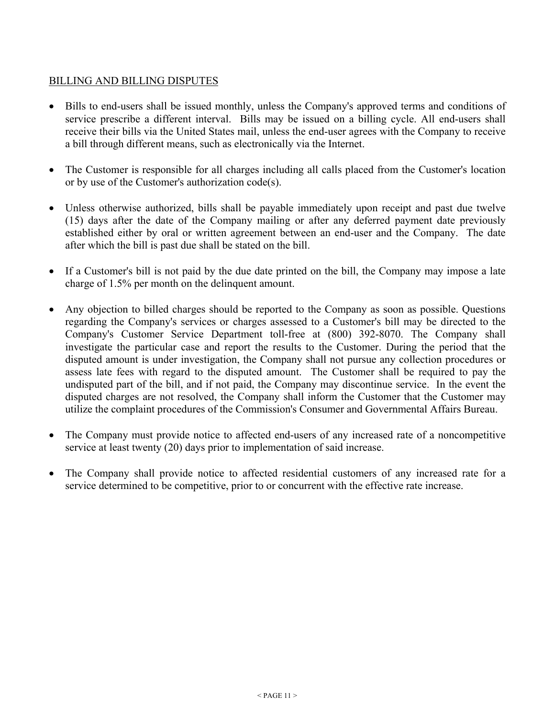## BILLING AND BILLING DISPUTES

- Bills to end-users shall be issued monthly, unless the Company's approved terms and conditions of service prescribe a different interval. Bills may be issued on a billing cycle. All end-users shall receive their bills via the United States mail, unless the end-user agrees with the Company to receive a bill through different means, such as electronically via the Internet.
- The Customer is responsible for all charges including all calls placed from the Customer's location or by use of the Customer's authorization code(s).
- Unless otherwise authorized, bills shall be payable immediately upon receipt and past due twelve (15) days after the date of the Company mailing or after any deferred payment date previously established either by oral or written agreement between an end-user and the Company. The date after which the bill is past due shall be stated on the bill.
- If a Customer's bill is not paid by the due date printed on the bill, the Company may impose a late charge of 1.5% per month on the delinquent amount.
- Any objection to billed charges should be reported to the Company as soon as possible. Questions regarding the Company's services or charges assessed to a Customer's bill may be directed to the Company's Customer Service Department toll-free at (800) 392-8070. The Company shall investigate the particular case and report the results to the Customer. During the period that the disputed amount is under investigation, the Company shall not pursue any collection procedures or assess late fees with regard to the disputed amount. The Customer shall be required to pay the undisputed part of the bill, and if not paid, the Company may discontinue service. In the event the disputed charges are not resolved, the Company shall inform the Customer that the Customer may utilize the complaint procedures of the Commission's Consumer and Governmental Affairs Bureau.
- The Company must provide notice to affected end-users of any increased rate of a noncompetitive service at least twenty (20) days prior to implementation of said increase.
- The Company shall provide notice to affected residential customers of any increased rate for a service determined to be competitive, prior to or concurrent with the effective rate increase.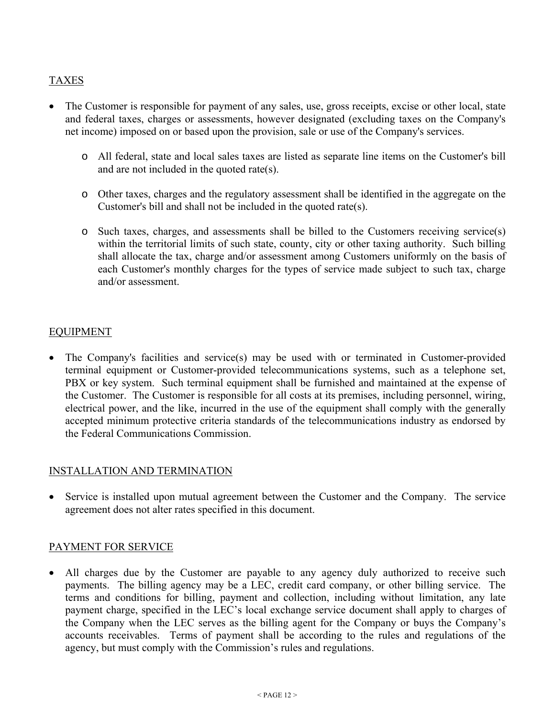## TAXES

- The Customer is responsible for payment of any sales, use, gross receipts, excise or other local, state and federal taxes, charges or assessments, however designated (excluding taxes on the Company's net income) imposed on or based upon the provision, sale or use of the Company's services.
	- o All federal, state and local sales taxes are listed as separate line items on the Customer's bill and are not included in the quoted rate(s).
	- o Other taxes, charges and the regulatory assessment shall be identified in the aggregate on the Customer's bill and shall not be included in the quoted rate(s).
	- o Such taxes, charges, and assessments shall be billed to the Customers receiving service(s) within the territorial limits of such state, county, city or other taxing authority. Such billing shall allocate the tax, charge and/or assessment among Customers uniformly on the basis of each Customer's monthly charges for the types of service made subject to such tax, charge and/or assessment.

### EQUIPMENT

 The Company's facilities and service(s) may be used with or terminated in Customer-provided terminal equipment or Customer-provided telecommunications systems, such as a telephone set, PBX or key system. Such terminal equipment shall be furnished and maintained at the expense of the Customer. The Customer is responsible for all costs at its premises, including personnel, wiring, electrical power, and the like, incurred in the use of the equipment shall comply with the generally accepted minimum protective criteria standards of the telecommunications industry as endorsed by the Federal Communications Commission.

#### INSTALLATION AND TERMINATION

 Service is installed upon mutual agreement between the Customer and the Company. The service agreement does not alter rates specified in this document.

#### PAYMENT FOR SERVICE

All charges due by the Customer are payable to any agency duly authorized to receive such payments. The billing agency may be a LEC, credit card company, or other billing service. The terms and conditions for billing, payment and collection, including without limitation, any late payment charge, specified in the LEC's local exchange service document shall apply to charges of the Company when the LEC serves as the billing agent for the Company or buys the Company's accounts receivables. Terms of payment shall be according to the rules and regulations of the agency, but must comply with the Commission's rules and regulations.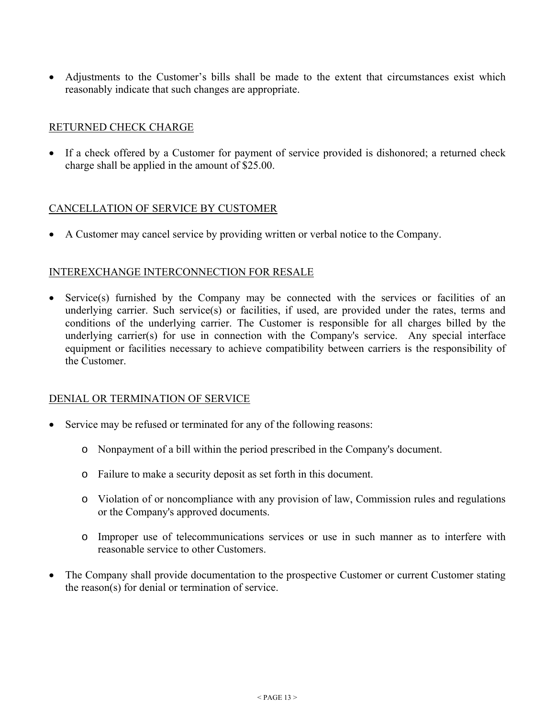Adjustments to the Customer's bills shall be made to the extent that circumstances exist which reasonably indicate that such changes are appropriate.

## RETURNED CHECK CHARGE

• If a check offered by a Customer for payment of service provided is dishonored; a returned check charge shall be applied in the amount of \$25.00.

### CANCELLATION OF SERVICE BY CUSTOMER

A Customer may cancel service by providing written or verbal notice to the Company.

#### INTEREXCHANGE INTERCONNECTION FOR RESALE

 Service(s) furnished by the Company may be connected with the services or facilities of an underlying carrier. Such service(s) or facilities, if used, are provided under the rates, terms and conditions of the underlying carrier. The Customer is responsible for all charges billed by the underlying carrier(s) for use in connection with the Company's service. Any special interface equipment or facilities necessary to achieve compatibility between carriers is the responsibility of the Customer.

#### DENIAL OR TERMINATION OF SERVICE

- Service may be refused or terminated for any of the following reasons:
	- o Nonpayment of a bill within the period prescribed in the Company's document.
	- o Failure to make a security deposit as set forth in this document.
	- o Violation of or noncompliance with any provision of law, Commission rules and regulations or the Company's approved documents.
	- o Improper use of telecommunications services or use in such manner as to interfere with reasonable service to other Customers.
- The Company shall provide documentation to the prospective Customer or current Customer stating the reason(s) for denial or termination of service.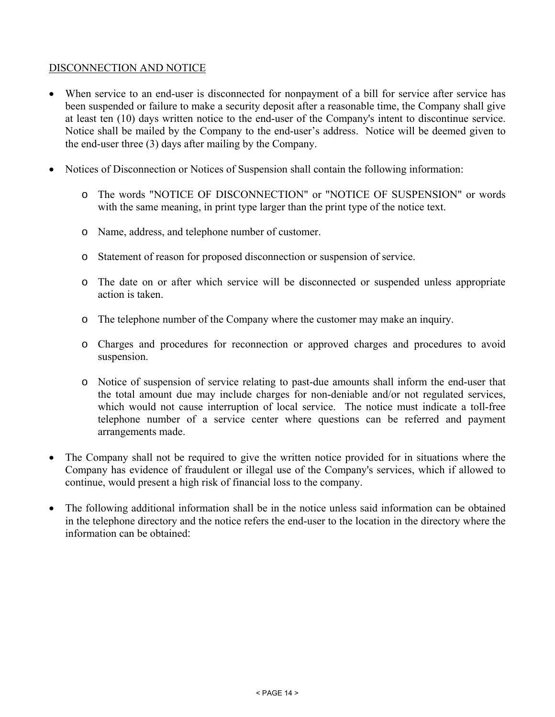## DISCONNECTION AND NOTICE

- When service to an end-user is disconnected for nonpayment of a bill for service after service has been suspended or failure to make a security deposit after a reasonable time, the Company shall give at least ten (10) days written notice to the end-user of the Company's intent to discontinue service. Notice shall be mailed by the Company to the end-user's address. Notice will be deemed given to the end-user three (3) days after mailing by the Company.
- Notices of Disconnection or Notices of Suspension shall contain the following information:
	- o The words "NOTICE OF DISCONNECTION" or "NOTICE OF SUSPENSION" or words with the same meaning, in print type larger than the print type of the notice text.
	- o Name, address, and telephone number of customer.
	- o Statement of reason for proposed disconnection or suspension of service.
	- o The date on or after which service will be disconnected or suspended unless appropriate action is taken.
	- o The telephone number of the Company where the customer may make an inquiry.
	- o Charges and procedures for reconnection or approved charges and procedures to avoid suspension.
	- o Notice of suspension of service relating to past-due amounts shall inform the end-user that the total amount due may include charges for non-deniable and/or not regulated services, which would not cause interruption of local service. The notice must indicate a toll-free telephone number of a service center where questions can be referred and payment arrangements made.
- The Company shall not be required to give the written notice provided for in situations where the Company has evidence of fraudulent or illegal use of the Company's services, which if allowed to continue, would present a high risk of financial loss to the company.
- The following additional information shall be in the notice unless said information can be obtained in the telephone directory and the notice refers the end-user to the location in the directory where the information can be obtained: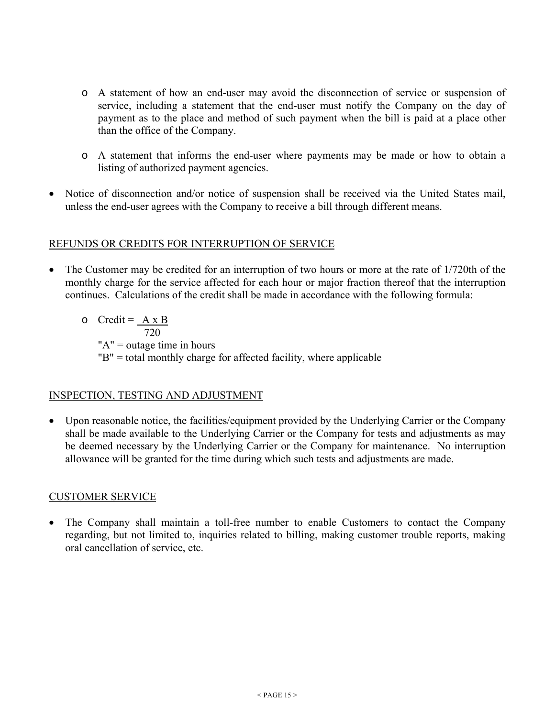- o A statement of how an end-user may avoid the disconnection of service or suspension of service, including a statement that the end-user must notify the Company on the day of payment as to the place and method of such payment when the bill is paid at a place other than the office of the Company.
- o A statement that informs the end-user where payments may be made or how to obtain a listing of authorized payment agencies.
- Notice of disconnection and/or notice of suspension shall be received via the United States mail, unless the end-user agrees with the Company to receive a bill through different means.

### REFUNDS OR CREDITS FOR INTERRUPTION OF SERVICE

- The Customer may be credited for an interruption of two hours or more at the rate of 1/720th of the monthly charge for the service affected for each hour or major fraction thereof that the interruption continues. Calculations of the credit shall be made in accordance with the following formula:
	- $\circ$  Credit =  $\angle A \times B$  720 " $A$ " = outage time in hours "B" = total monthly charge for affected facility, where applicable

## INSPECTION, TESTING AND ADJUSTMENT

 Upon reasonable notice, the facilities/equipment provided by the Underlying Carrier or the Company shall be made available to the Underlying Carrier or the Company for tests and adjustments as may be deemed necessary by the Underlying Carrier or the Company for maintenance. No interruption allowance will be granted for the time during which such tests and adjustments are made.

## CUSTOMER SERVICE

 The Company shall maintain a toll-free number to enable Customers to contact the Company regarding, but not limited to, inquiries related to billing, making customer trouble reports, making oral cancellation of service, etc.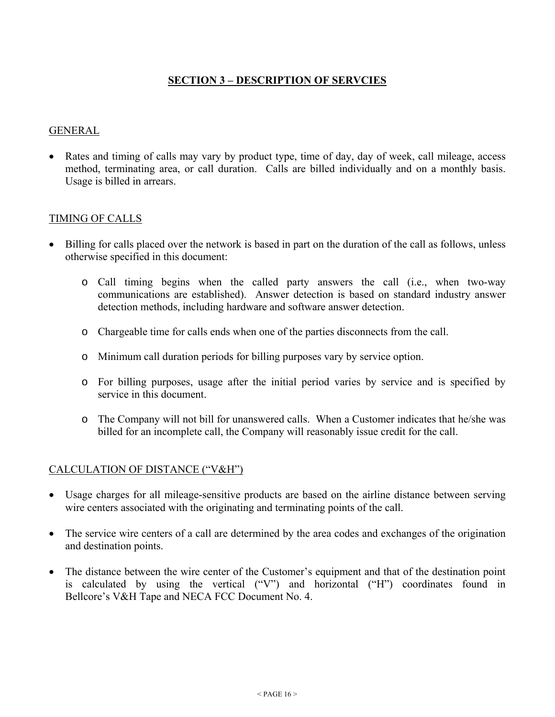## **SECTION 3 – DESCRIPTION OF SERVCIES**

#### GENERAL

 Rates and timing of calls may vary by product type, time of day, day of week, call mileage, access method, terminating area, or call duration. Calls are billed individually and on a monthly basis. Usage is billed in arrears.

### TIMING OF CALLS

- Billing for calls placed over the network is based in part on the duration of the call as follows, unless otherwise specified in this document:
	- o Call timing begins when the called party answers the call (i.e., when two-way communications are established). Answer detection is based on standard industry answer detection methods, including hardware and software answer detection.
	- o Chargeable time for calls ends when one of the parties disconnects from the call.
	- o Minimum call duration periods for billing purposes vary by service option.
	- o For billing purposes, usage after the initial period varies by service and is specified by service in this document.
	- o The Company will not bill for unanswered calls. When a Customer indicates that he/she was billed for an incomplete call, the Company will reasonably issue credit for the call.

#### CALCULATION OF DISTANCE ("V&H")

- Usage charges for all mileage-sensitive products are based on the airline distance between serving wire centers associated with the originating and terminating points of the call.
- The service wire centers of a call are determined by the area codes and exchanges of the origination and destination points.
- The distance between the wire center of the Customer's equipment and that of the destination point is calculated by using the vertical ("V") and horizontal ("H") coordinates found in Bellcore's V&H Tape and NECA FCC Document No. 4.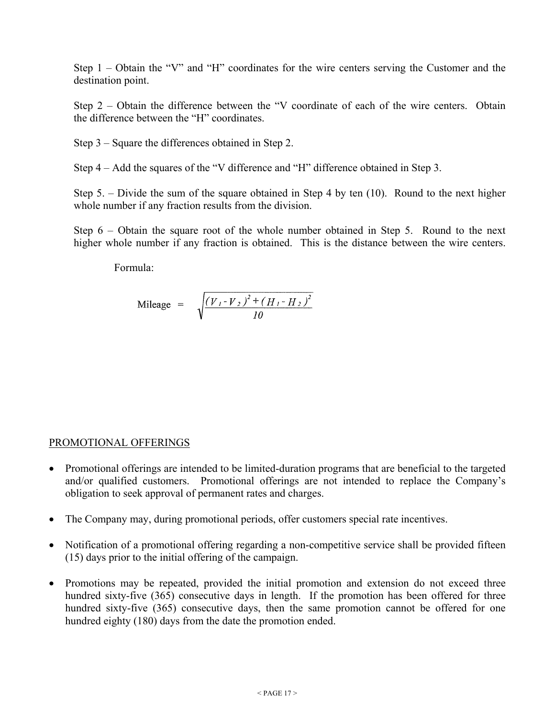Step 1 – Obtain the "V" and "H" coordinates for the wire centers serving the Customer and the destination point.

Step 2 – Obtain the difference between the "V coordinate of each of the wire centers. Obtain the difference between the "H" coordinates.

Step 3 – Square the differences obtained in Step 2.

Step 4 – Add the squares of the "V difference and "H" difference obtained in Step 3.

Step 5. – Divide the sum of the square obtained in Step 4 by ten (10). Round to the next higher whole number if any fraction results from the division.

Step 6 – Obtain the square root of the whole number obtained in Step 5. Round to the next higher whole number if any fraction is obtained. This is the distance between the wire centers.

Formula:

$$
\text{Mileage} = \sqrt{\frac{(V_I - V_2)^2 + (H_I - H_2)^2}{10}}
$$

#### PROMOTIONAL OFFERINGS

- Promotional offerings are intended to be limited-duration programs that are beneficial to the targeted and/or qualified customers. Promotional offerings are not intended to replace the Company's obligation to seek approval of permanent rates and charges.
- The Company may, during promotional periods, offer customers special rate incentives.
- Notification of a promotional offering regarding a non-competitive service shall be provided fifteen (15) days prior to the initial offering of the campaign.
- Promotions may be repeated, provided the initial promotion and extension do not exceed three hundred sixty-five (365) consecutive days in length. If the promotion has been offered for three hundred sixty-five (365) consecutive days, then the same promotion cannot be offered for one hundred eighty (180) days from the date the promotion ended.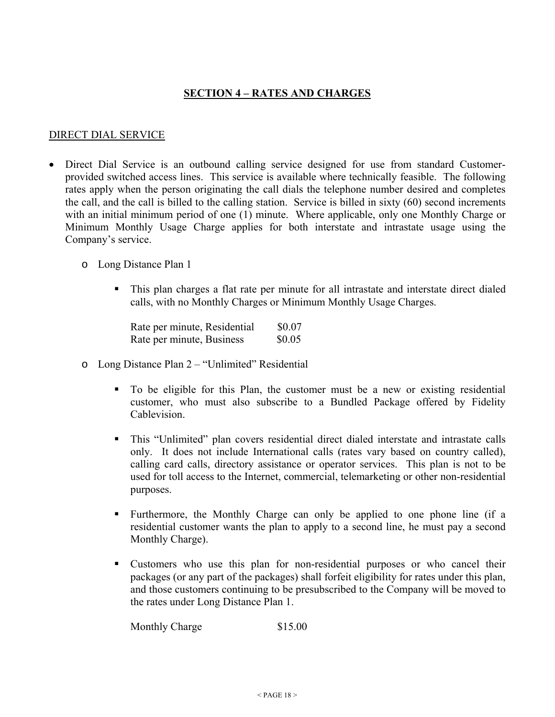## **SECTION 4 – RATES AND CHARGES**

#### DIRECT DIAL SERVICE

- Direct Dial Service is an outbound calling service designed for use from standard Customerprovided switched access lines. This service is available where technically feasible. The following rates apply when the person originating the call dials the telephone number desired and completes the call, and the call is billed to the calling station. Service is billed in sixty (60) second increments with an initial minimum period of one (1) minute. Where applicable, only one Monthly Charge or Minimum Monthly Usage Charge applies for both interstate and intrastate usage using the Company's service.
	- o Long Distance Plan 1
		- This plan charges a flat rate per minute for all intrastate and interstate direct dialed calls, with no Monthly Charges or Minimum Monthly Usage Charges.

Rate per minute, Residential  $$0.07$ Rate per minute, Business  $$0.05$ 

- o Long Distance Plan 2 "Unlimited" Residential
	- To be eligible for this Plan, the customer must be a new or existing residential customer, who must also subscribe to a Bundled Package offered by Fidelity Cablevision.
	- This "Unlimited" plan covers residential direct dialed interstate and intrastate calls only. It does not include International calls (rates vary based on country called), calling card calls, directory assistance or operator services. This plan is not to be used for toll access to the Internet, commercial, telemarketing or other non-residential purposes.
	- Furthermore, the Monthly Charge can only be applied to one phone line (if a residential customer wants the plan to apply to a second line, he must pay a second Monthly Charge).
	- Customers who use this plan for non-residential purposes or who cancel their packages (or any part of the packages) shall forfeit eligibility for rates under this plan, and those customers continuing to be presubscribed to the Company will be moved to the rates under Long Distance Plan 1.

Monthly Charge \$15.00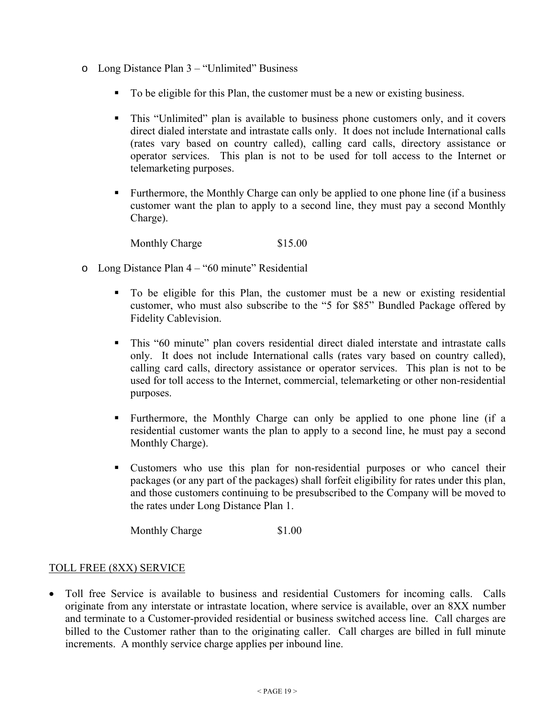- o Long Distance Plan 3 "Unlimited" Business
	- To be eligible for this Plan, the customer must be a new or existing business.
	- This "Unlimited" plan is available to business phone customers only, and it covers direct dialed interstate and intrastate calls only. It does not include International calls (rates vary based on country called), calling card calls, directory assistance or operator services. This plan is not to be used for toll access to the Internet or telemarketing purposes.
	- **Furthermore, the Monthly Charge can only be applied to one phone line (if a business** customer want the plan to apply to a second line, they must pay a second Monthly Charge).

Monthly Charge \$15.00

- o Long Distance Plan 4 "60 minute" Residential
	- To be eligible for this Plan, the customer must be a new or existing residential customer, who must also subscribe to the "5 for \$85" Bundled Package offered by Fidelity Cablevision.
	- This "60 minute" plan covers residential direct dialed interstate and intrastate calls only. It does not include International calls (rates vary based on country called), calling card calls, directory assistance or operator services. This plan is not to be used for toll access to the Internet, commercial, telemarketing or other non-residential purposes.
	- Furthermore, the Monthly Charge can only be applied to one phone line (if a residential customer wants the plan to apply to a second line, he must pay a second Monthly Charge).
	- Customers who use this plan for non-residential purposes or who cancel their packages (or any part of the packages) shall forfeit eligibility for rates under this plan, and those customers continuing to be presubscribed to the Company will be moved to the rates under Long Distance Plan 1.

Monthly Charge \$1.00

#### TOLL FREE (8XX) SERVICE

 Toll free Service is available to business and residential Customers for incoming calls. Calls originate from any interstate or intrastate location, where service is available, over an 8XX number and terminate to a Customer-provided residential or business switched access line. Call charges are billed to the Customer rather than to the originating caller. Call charges are billed in full minute increments. A monthly service charge applies per inbound line.